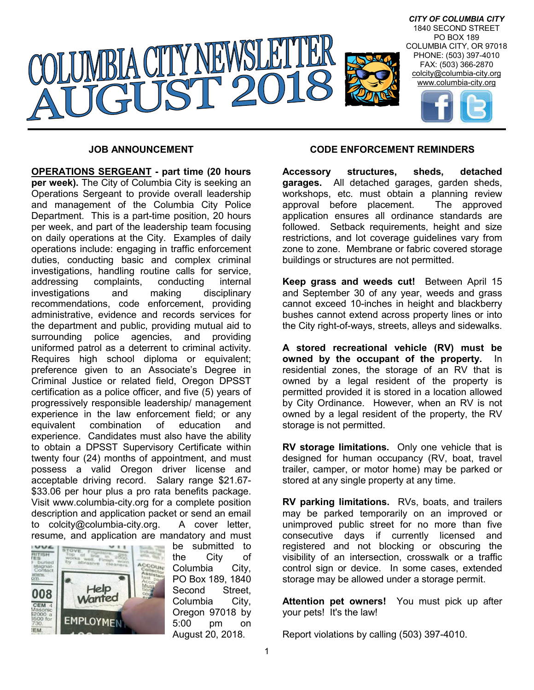

#### **JOB ANNOUNCEMENT**

**OPERATIONS SERGEANT - part time (20 hours per week).** The City of Columbia City is seeking an Operations Sergeant to provide overall leadership and management of the Columbia City Police Department. This is a part-time position, 20 hours per week, and part of the leadership team focusing on daily operations at the City. Examples of daily operations include: engaging in traffic enforcement duties, conducting basic and complex criminal investigations, handling routine calls for service, addressing complaints, conducting internal investigations and making disciplinary recommendations, code enforcement, providing administrative, evidence and records services for the department and public, providing mutual aid to surrounding police agencies, and providing uniformed patrol as a deterrent to criminal activity. Requires high school diploma or equivalent; preference given to an Associate's Degree in Criminal Justice or related field, Oregon DPSST certification as a police officer, and five (5) years of progressively responsible leadership/ management experience in the law enforcement field; or any equivalent combination of education and experience. Candidates must also have the ability to obtain a DPSST Supervisory Certificate within twenty four (24) months of appointment, and must possess a valid Oregon driver license and acceptable driving record. Salary range \$21.67- \$33.06 per hour plus a pro rata benefits package. Visit www.columbia-city.org for a complete position description and application packet or send an email to colcity@columbia-city.org. A cover letter, resume, and application are mandatory and must



be submitted to the City of Columbia City, PO Box 189, 1840 Second Street, Columbia City, Oregon 97018 by 5:00 pm on August 20, 2018.

#### **CODE ENFORCEMENT REMINDERS**

**Accessory structures, sheds, detached garages.** All detached garages, garden sheds, workshops, etc. must obtain a planning review approval before placement. The approved application ensures all ordinance standards are followed. Setback requirements, height and size restrictions, and lot coverage guidelines vary from zone to zone. Membrane or fabric covered storage buildings or structures are not permitted.

**Keep grass and weeds cut!** Between April 15 and September 30 of any year, weeds and grass cannot exceed 10-inches in height and blackberry bushes cannot extend across property lines or into the City right-of-ways, streets, alleys and sidewalks.

**A stored recreational vehicle (RV) must be owned by the occupant of the property.** In residential zones, the storage of an RV that is owned by a legal resident of the property is permitted provided it is stored in a location allowed by City Ordinance. However, when an RV is not owned by a legal resident of the property, the RV storage is not permitted.

**RV storage limitations.** Only one vehicle that is designed for human occupancy (RV, boat, travel trailer, camper, or motor home) may be parked or stored at any single property at any time.

**RV parking limitations.** RVs, boats, and trailers may be parked temporarily on an improved or unimproved public street for no more than five consecutive days if currently licensed and registered and not blocking or obscuring the visibility of an intersection, crosswalk or a traffic control sign or device. In some cases, extended storage may be allowed under a storage permit.

**Attention pet owners!** You must pick up after your pets! It's the law!

Report violations by calling (503) 397-4010.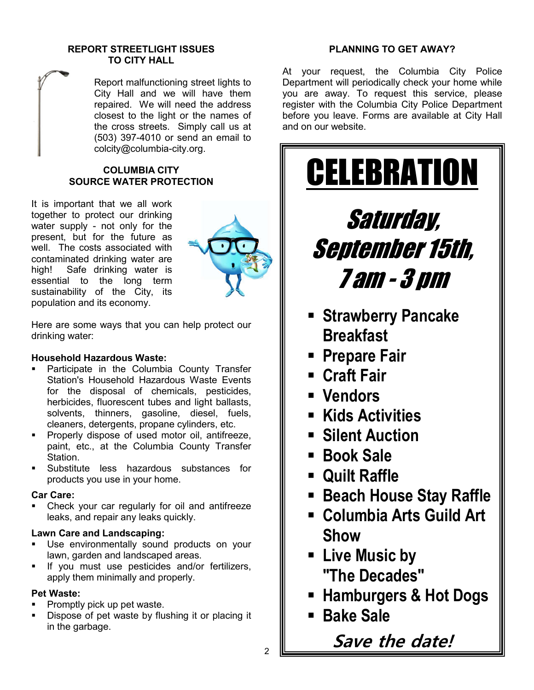#### **REPORT STREETLIGHT ISSUES TO CITY HALL**

Report malfunctioning street lights to City Hall and we will have them repaired. We will need the address closest to the light or the names of the cross streets. Simply call us at (503) 397-4010 or send an email to colcity@columbia-city.org.

# **COLUMBIA CITY SOURCE WATER PROTECTION**

It is important that we all work together to protect our drinking water supply - not only for the present, but for the future as well. The costs associated with contaminated drinking water are high! Safe drinking water is essential to the long term sustainability of the City, its population and its economy.



Here are some ways that you can help protect our drinking water:

# **Household Hazardous Waste:**

- Participate in the Columbia County Transfer Station's Household Hazardous Waste Events for the disposal of chemicals, pesticides, herbicides, fluorescent tubes and light ballasts, solvents, thinners, gasoline, diesel, fuels, cleaners, detergents, propane cylinders, etc.
- **Properly dispose of used motor oil, antifreeze,** paint, etc., at the Columbia County Transfer Station.
- Substitute less hazardous substances for products you use in your home.

# **Car Care:**

**-** Check your car regularly for oil and antifreeze leaks, and repair any leaks quickly.

# **Lawn Care and Landscaping:**

- Use environmentally sound products on your lawn, garden and landscaped areas.
- **If you must use pesticides and/or fertilizers,** apply them minimally and properly.

# **Pet Waste:**

- Promptly pick up pet waste.
- Dispose of pet waste by flushing it or placing it in the garbage.

# **PLANNING TO GET AWAY?**

At your request, the Columbia City Police Department will periodically check your home while you are away. To request this service, please register with the Columbia City Police Department before you leave. Forms are available at City Hall and on our website.



- **Columbia Arts Guild Art Show**
- **Live Music by "The Decades"**
- **Hamburgers & Hot Dogs**
- **Bake Sale**

**Save the date!**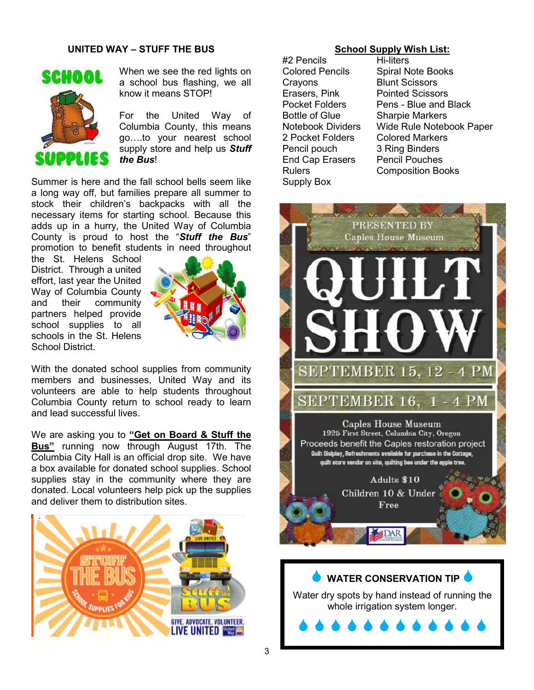## **UNITED WAY – STUFF THE BUS**



When we see the red lights on a school bus flashing, we all know it means STOP!

For the United Way of Columbia County, this means go….to your nearest school supply store and help us *Stuff the Bus*!

Summer is here and the fall school bells seem like a long way off, but families prepare all summer to stock their children's backpacks with all the necessary items for starting school. Because this adds up in a hurry, the United Way of Columbia County is proud to host the "*Stuff the Bus*" promotion to benefit students in need throughout

the St. Helens School District. Through a united effort, last year the United Way of Columbia County and their community partners helped provide school supplies to all schools in the St. Helens School District.



With the donated school supplies from community members and businesses, United Way and its volunteers are able to help students throughout Columbia County return to school ready to learn and lead successful lives.

We are asking you to **"Get on Board & Stuff the Bus"** running now through August 17th. The Columbia City Hall is an official drop site. We have a box available for donated school supplies. School supplies stay in the community where they are donated. Local volunteers help pick up the supplies and deliver them to distribution sites.



### **School Supply Wish List:**

#2 Pencils Hi-liters Crayons Blunt Scissors Erasers, Pink Pointed Scissors Bottle of Glue Sharpie Markers 2 Pocket Folders Colored Markers Pencil pouch 3 Ring Binders<br>End Cap Erasers Pencil Pouches End Cap Erasers Supply Box

Colored Pencils Spiral Note Books Pocket Folders Pens - Blue and Black Notebook Dividers Wide Rule Notebook Paper Rulers Composition Books

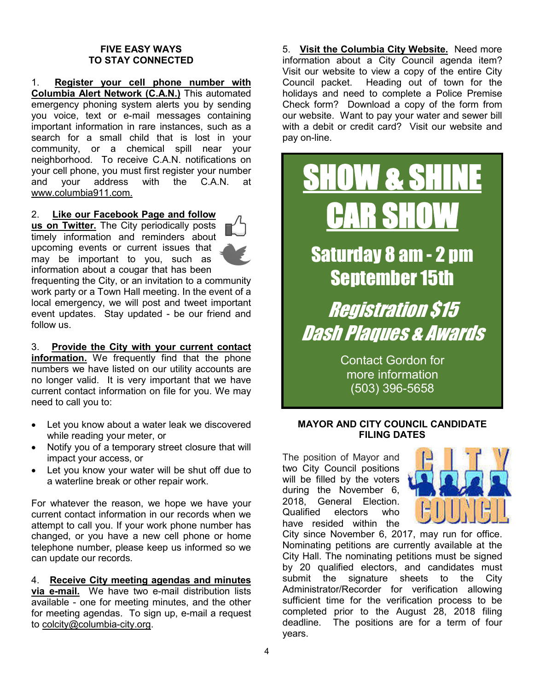#### **FIVE EASY WAYS TO STAY CONNECTED**

1. **Register your cell phone number with Columbia Alert Network (C.A.N.)** This automated emergency phoning system alerts you by sending you voice, text or e-mail messages containing important information in rare instances, such as a search for a small child that is lost in your community, or a chemical spill near your neighborhood. To receive C.A.N. notifications on your cell phone, you must first register your number and your address with the C.A.N. at www.columbia911.com.

#### 2. **Like our Facebook Page and follow**

**us on Twitter.** The City periodically posts timely information and reminders about upcoming events or current issues that may be important to you, such as information about a cougar that has been



frequenting the City, or an invitation to a community work party or a Town Hall meeting. In the event of a local emergency, we will post and tweet important event updates. Stay updated - be our friend and follow us.

3. **Provide the City with your current contact information.** We frequently find that the phone numbers we have listed on our utility accounts are no longer valid. It is very important that we have current contact information on file for you. We may need to call you to:

- Let you know about a water leak we discovered while reading your meter, or
- Notify you of a temporary street closure that will impact your access, or
- Let you know your water will be shut off due to a waterline break or other repair work.

For whatever the reason, we hope we have your current contact information in our records when we attempt to call you. If your work phone number has changed, or you have a new cell phone or home telephone number, please keep us informed so we can update our records.

4. **Receive City meeting agendas and minutes via e-mail.** We have two e-mail distribution lists available - one for meeting minutes, and the other for meeting agendas. To sign up, e-mail a request to colcity@columbia-city.org.

5. **Visit the Columbia City Website.** Need more information about a City Council agenda item? Visit our website to view a copy of the entire City Council packet. Heading out of town for the holidays and need to complete a Police Premise Check form? Download a copy of the form from our website. Want to pay your water and sewer bill with a debit or credit card? Visit our website and pay on-line.



Contact Gordon for more information (503) 396-5658

# **MAYOR AND CITY COUNCIL CANDIDATE FILING DATES**

The position of Mayor and two City Council positions will be filled by the voters during the November 6, 2018, General Election. Qualified electors who have resided within the



City since November 6, 2017, may run for office. Nominating petitions are currently available at the City Hall. The nominating petitions must be signed by 20 qualified electors, and candidates must submit the signature sheets to the City Administrator/Recorder for verification allowing sufficient time for the verification process to be completed prior to the August 28, 2018 filing deadline. The positions are for a term of four years.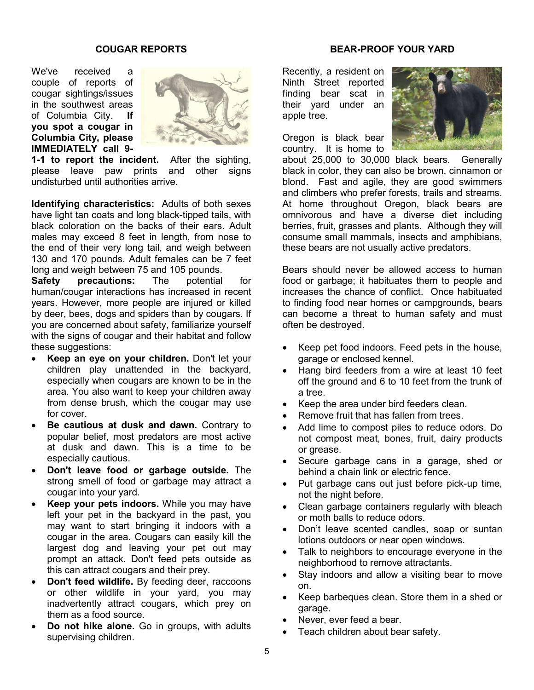#### **COUGAR REPORTS**

We've received a couple of reports of cougar sightings/issues in the southwest areas of Columbia City. **If you spot a cougar in Columbia City, please IMMEDIATELY call 9-**



**1-1 to report the incident.** After the sighting, please leave paw prints and other signs undisturbed until authorities arrive.

**Identifying characteristics:** Adults of both sexes have light tan coats and long black-tipped tails, with black coloration on the backs of their ears. Adult males may exceed 8 feet in length, from nose to the end of their very long tail, and weigh between 130 and 170 pounds. Adult females can be 7 feet long and weigh between 75 and 105 pounds.

**Safety precautions:** The potential for human/cougar interactions has increased in recent years. However, more people are injured or killed by deer, bees, dogs and spiders than by cougars. If you are concerned about safety, familiarize yourself with the signs of cougar and their habitat and follow these suggestions:

- **Keep an eye on your children.** Don't let your children play unattended in the backyard, especially when cougars are known to be in the area. You also want to keep your children away from dense brush, which the cougar may use for cover.
- **Be cautious at dusk and dawn.** Contrary to popular belief, most predators are most active at dusk and dawn. This is a time to be especially cautious.
- **Don't leave food or garbage outside.** The strong smell of food or garbage may attract a cougar into your yard.
- **Keep your pets indoors.** While you may have left your pet in the backyard in the past, you may want to start bringing it indoors with a cougar in the area. Cougars can easily kill the largest dog and leaving your pet out may prompt an attack. Don't feed pets outside as this can attract cougars and their prey.
- **Don't feed wildlife.** By feeding deer, raccoons or other wildlife in your yard, you may inadvertently attract cougars, which prey on them as a food source.
- **Do not hike alone.** Go in groups, with adults supervising children.

## **BEAR-PROOF YOUR YARD**

Recently, a resident on Ninth Street reported finding bear scat in their yard under an apple tree.

Oregon is black bear country. It is home to



about 25,000 to 30,000 black bears. Generally black in color, they can also be brown, cinnamon or blond. Fast and agile, they are good swimmers and climbers who prefer forests, trails and streams. At home throughout Oregon, black bears are omnivorous and have a diverse diet including berries, fruit, grasses and plants. Although they will consume small mammals, insects and amphibians, these bears are not usually active predators.

Bears should never be allowed access to human food or garbage; it habituates them to people and increases the chance of conflict. Once habituated to finding food near homes or campgrounds, bears can become a threat to human safety and must often be destroyed.

- Keep pet food indoors. Feed pets in the house, garage or enclosed kennel.
- Hang bird feeders from a wire at least 10 feet off the ground and 6 to 10 feet from the trunk of a tree.
- Keep the area under bird feeders clean.
- Remove fruit that has fallen from trees.
- Add lime to compost piles to reduce odors. Do not compost meat, bones, fruit, dairy products or grease.
- Secure garbage cans in a garage, shed or behind a chain link or electric fence.
- Put garbage cans out just before pick-up time, not the night before.
- Clean garbage containers regularly with bleach or moth balls to reduce odors.
- Don't leave scented candles, soap or suntan lotions outdoors or near open windows.
- Talk to neighbors to encourage everyone in the neighborhood to remove attractants.
- Stay indoors and allow a visiting bear to move on.
- Keep barbeques clean. Store them in a shed or garage.
- Never, ever feed a bear.
- Teach children about bear safety.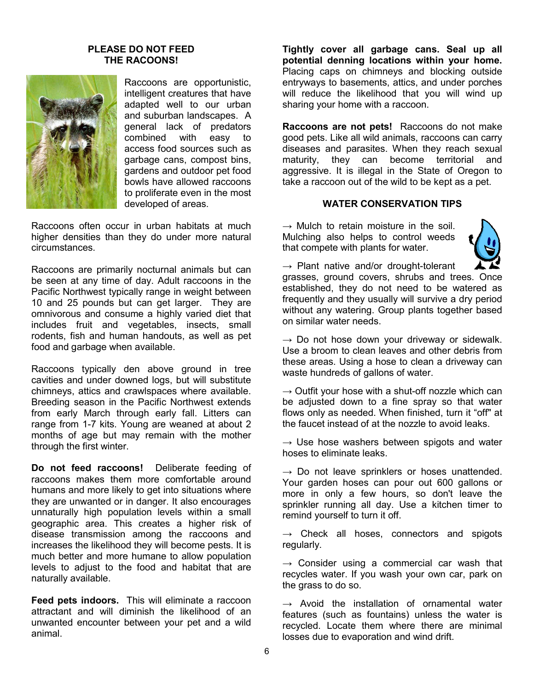#### **PLEASE DO NOT FEED THE RACOONS!**



Raccoons are opportunistic, intelligent creatures that have adapted well to our urban and suburban landscapes. A general lack of predators combined with easy to access food sources such as garbage cans, compost bins, gardens and outdoor pet food bowls have allowed raccoons to proliferate even in the most developed of areas.

Raccoons often occur in urban habitats at much higher densities than they do under more natural circumstances.

Raccoons are primarily nocturnal animals but can be seen at any time of day. Adult raccoons in the Pacific Northwest typically range in weight between 10 and 25 pounds but can get larger. They are omnivorous and consume a highly varied diet that includes fruit and vegetables, insects, small rodents, fish and human handouts, as well as pet food and garbage when available.

Raccoons typically den above ground in tree cavities and under downed logs, but will substitute chimneys, attics and crawlspaces where available. Breeding season in the Pacific Northwest extends from early March through early fall. Litters can range from 1-7 kits. Young are weaned at about 2 months of age but may remain with the mother through the first winter.

**Do not feed raccoons!** Deliberate feeding of raccoons makes them more comfortable around humans and more likely to get into situations where they are unwanted or in danger. It also encourages unnaturally high population levels within a small geographic area. This creates a higher risk of disease transmission among the raccoons and increases the likelihood they will become pests. It is much better and more humane to allow population levels to adjust to the food and habitat that are naturally available.

**Feed pets indoors.** This will eliminate a raccoon attractant and will diminish the likelihood of an unwanted encounter between your pet and a wild animal.

**Tightly cover all garbage cans. Seal up all potential denning locations within your home.** Placing caps on chimneys and blocking outside entryways to basements, attics, and under porches will reduce the likelihood that you will wind up sharing your home with a raccoon.

**Raccoons are not pets!** Raccoons do not make good pets. Like all wild animals, raccoons can carry diseases and parasites. When they reach sexual maturity, they can become territorial and aggressive. It is illegal in the State of Oregon to take a raccoon out of the wild to be kept as a pet.

#### **WATER CONSERVATION TIPS**

 $\rightarrow$  Mulch to retain moisture in the soil. Mulching also helps to control weeds that compete with plants for water.



 $\rightarrow$  Plant native and/or drought-tolerant

grasses, ground covers, shrubs and trees. Once established, they do not need to be watered as frequently and they usually will survive a dry period without any watering. Group plants together based on similar water needs.

 $\rightarrow$  Do not hose down your driveway or sidewalk. Use a broom to clean leaves and other debris from these areas. Using a hose to clean a driveway can waste hundreds of gallons of water.

 $\rightarrow$  Outfit your hose with a shut-off nozzle which can be adjusted down to a fine spray so that water flows only as needed. When finished, turn it "off" at the faucet instead of at the nozzle to avoid leaks.

 $\rightarrow$  Use hose washers between spigots and water hoses to eliminate leaks.

 $\rightarrow$  Do not leave sprinklers or hoses unattended. Your garden hoses can pour out 600 gallons or more in only a few hours, so don't leave the sprinkler running all day. Use a kitchen timer to remind yourself to turn it off.

 $\rightarrow$  Check all hoses, connectors and spigots regularly.

 $\rightarrow$  Consider using a commercial car wash that recycles water. If you wash your own car, park on the grass to do so.

 $\rightarrow$  Avoid the installation of ornamental water features (such as fountains) unless the water is recycled. Locate them where there are minimal losses due to evaporation and wind drift.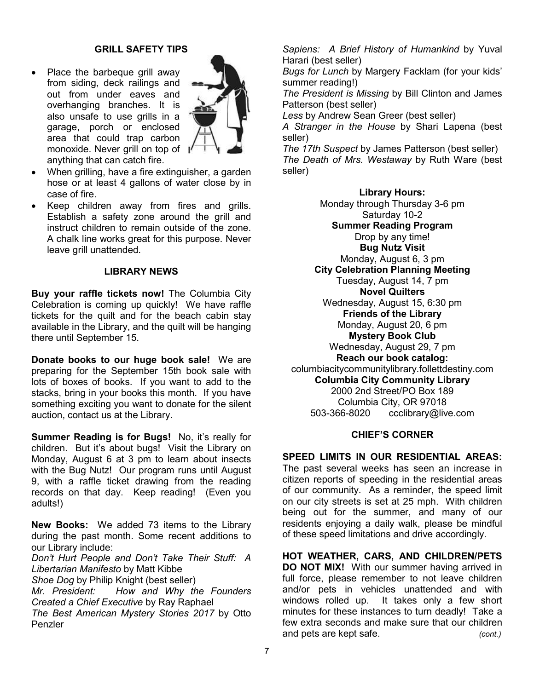# **GRILL SAFETY TIPS**

 Place the barbeque grill away from siding, deck railings and out from under eaves and overhanging branches. It is also unsafe to use grills in a garage, porch or enclosed area that could trap carbon monoxide. Never grill on top of anything that can catch fire.



- When grilling, have a fire extinguisher, a garden hose or at least 4 gallons of water close by in case of fire.
- Keep children away from fires and grills. Establish a safety zone around the grill and instruct children to remain outside of the zone. A chalk line works great for this purpose. Never leave grill unattended.

#### **LIBRARY NEWS**

**Buy your raffle tickets now!** The Columbia City Celebration is coming up quickly! We have raffle tickets for the quilt and for the beach cabin stay available in the Library, and the quilt will be hanging there until September 15.

**Donate books to our huge book sale!** We are preparing for the September 15th book sale with lots of boxes of books. If you want to add to the stacks, bring in your books this month. If you have something exciting you want to donate for the silent auction, contact us at the Library.

**Summer Reading is for Bugs!** No, it's really for children. But it's about bugs! Visit the Library on Monday, August 6 at 3 pm to learn about insects with the Bug Nutz! Our program runs until August 9, with a raffle ticket drawing from the reading records on that day. Keep reading! (Even you adults!)

**New Books:** We added 73 items to the Library during the past month. Some recent additions to our Library include:

*Don't Hurt People and Don't Take Their Stuff: A Libertarian Manifesto* by Matt Kibbe

*Shoe Dog* by Philip Knight (best seller)

*Mr. President: How and Why the Founders Created a Chief Executive* by Ray Raphael

*The Best American Mystery Stories 2017* by Otto Penzler

*Sapiens: A Brief History of Humankind* by Yuval Harari (best seller)

*Bugs for Lunch* by Margery Facklam (for your kids' summer reading!)

*The President is Missing* by Bill Clinton and James Patterson (best seller)

*Less* by Andrew Sean Greer (best seller)

*A Stranger in the House* by Shari Lapena (best seller)

*The 17th Suspect* by James Patterson (best seller) *The Death of Mrs. Westaway* by Ruth Ware (best seller)

#### **Library Hours:**

Monday through Thursday 3-6 pm Saturday 10-2 **Summer Reading Program** Drop by any time! **Bug Nutz Visit** Monday, August 6, 3 pm **City Celebration Planning Meeting** Tuesday, August 14, 7 pm **Novel Quilters** Wednesday, August 15, 6:30 pm **Friends of the Library** Monday, August 20, 6 pm **Mystery Book Club** Wednesday, August 29, 7 pm **Reach our book catalog:** columbiacitycommunitylibrary.follettdestiny.com **Columbia City Community Library** 2000 2nd Street/PO Box 189 Columbia City, OR 97018 503-366-8020 ccclibrary@live.com

#### **CHIEF'S CORNER**

**SPEED LIMITS IN OUR RESIDENTIAL AREAS:**  The past several weeks has seen an increase in citizen reports of speeding in the residential areas of our community. As a reminder, the speed limit on our city streets is set at 25 mph. With children being out for the summer, and many of our residents enjoying a daily walk, please be mindful of these speed limitations and drive accordingly.

**HOT WEATHER, CARS, AND CHILDREN/PETS DO NOT MIX!** With our summer having arrived in full force, please remember to not leave children and/or pets in vehicles unattended and with windows rolled up. It takes only a few short minutes for these instances to turn deadly! Take a few extra seconds and make sure that our children and pets are kept safe. *(cont.)*